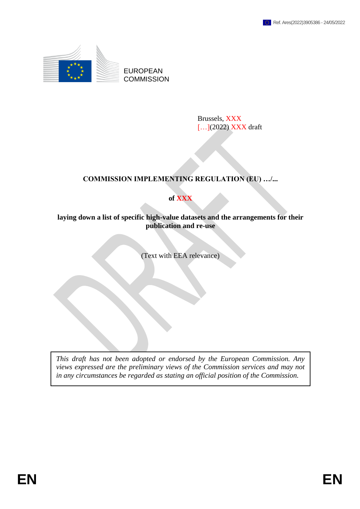

EUROPEAN **COMMISSION** 

> Brussels, XXX [...](2022) XXX draft

# **COMMISSION IMPLEMENTING REGULATION (EU) …/...**

## **of XXX**

### **laying down a list of specific high-value datasets and the arrangements for their publication and re-use**

(Text with EEA relevance)

*This draft has not been adopted or endorsed by the European Commission. Any views expressed are the preliminary views of the Commission services and may not in any circumstances be regarded as stating an official position of the Commission.*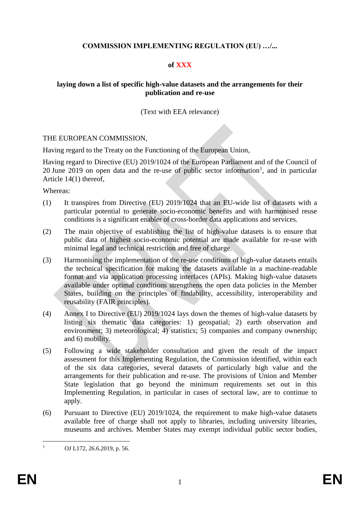### **COMMISSION IMPLEMENTING REGULATION (EU) …/...**

### **of XXX**

### **laying down a list of specific high-value datasets and the arrangements for their publication and re-use**

### (Text with EEA relevance)

### THE EUROPEAN COMMISSION,

Having regard to the Treaty on the Functioning of the European Union,

Having regard to Directive (EU) 2019/1024 of the European Parliament and of the Council of 20 June 2019 on open data and the re-use of public sector information<sup>1</sup>, and in particular Article 14(1) thereof,

Whereas:

- (1) It transpires from Directive (EU) 2019/1024 that an EU-wide list of datasets with a particular potential to generate socio-economic benefits and with harmonised reuse conditions is a significant enabler of cross-border data applications and services.
- (2) The main objective of establishing the list of high-value datasets is to ensure that public data of highest socio-economic potential are made available for re-use with minimal legal and technical restriction and free of charge.
- (3) Harmonising the implementation of the re-use conditions of high-value datasets entails the technical specification for making the datasets available in a machine-readable format and via application processing interfaces (APIs). Making high-value datasets available under optimal conditions strengthens the open data policies in the Member States, building on the principles of findability, accessibility, interoperability and reusability (FAIR principles).
- (4) Annex I to Directive (EU) 2019/1024 lays down the themes of high-value datasets by listing six thematic data categories: 1) geospatial; 2) earth observation and environment; 3) meteorological; 4) statistics; 5) companies and company ownership; and 6) mobility.
- (5) Following a wide stakeholder consultation and given the result of the impact assessment for this Implementing Regulation, the Commission identified, within each of the six data categories, several datasets of particularly high value and the arrangements for their publication and re-use. The provisions of Union and Member State legislation that go beyond the minimum requirements set out in this Implementing Regulation, in particular in cases of sectoral law, are to continue to apply.
- (6) Pursuant to Directive (EU) 2019/1024, the requirement to make high-value datasets available free of charge shall not apply to libraries, including university libraries, museums and archives. Member States may exempt individual public sector bodies,

 $\mathbf{1}$ OJ L172, 26.6.2019, p. 56.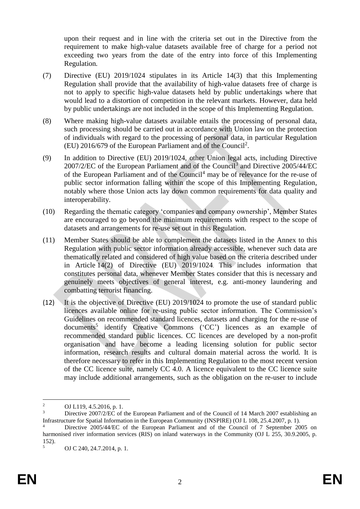upon their request and in line with the criteria set out in the Directive from the requirement to make high-value datasets available free of charge for a period not exceeding two years from the date of the entry into force of this Implementing Regulation*.*

- (7) Directive (EU) 2019/1024 stipulates in its Article 14(3) that this Implementing Regulation shall provide that the availability of high-value datasets free of charge is not to apply to specific high-value datasets held by public undertakings where that would lead to a distortion of competition in the relevant markets. However, data held by public undertakings are not included in the scope of this Implementing Regulation.
- (8) Where making high-value datasets available entails the processing of personal data, such processing should be carried out in accordance with Union law on the protection of individuals with regard to the processing of personal data, in particular Regulation (EU) 2016/679 of the European Parliament and of the Council<sup>2</sup> .
- (9) In addition to Directive (EU) 2019/1024, other Union legal acts, including Directive 2007/2/EC of the European Parliament and of the Council<sup>3</sup> and Directive 2005/44/EC of the European Parliament and of the Council<sup>4</sup> may be of relevance for the re-use of public sector information falling within the scope of this Implementing Regulation, notably where those Union acts lay down common requirements for data quality and interoperability.
- (10) Regarding the thematic category 'companies and company ownership', Member States are encouraged to go beyond the minimum requirements with respect to the scope of datasets and arrangements for re-use set out in this Regulation.
- (11) Member States should be able to complement the datasets listed in the Annex to this Regulation with public sector information already accessible, whenever such data are thematically related and considered of high value based on the criteria described under in Article 14(2) of Directive (EU) 2019/1024. This includes information that constitutes personal data, whenever Member States consider that this is necessary and genuinely meets objectives of general interest, e.g. anti-money laundering and combatting terrorist financing.
- (12) It is the objective of Directive (EU) 2019/1024 to promote the use of standard public licences available online for re-using public sector information. The Commission's Guidelines on recommended standard licences, datasets and charging for the re-use of documents<sup>5</sup> identify Creative Commons ('CC') licences as an example of recommended standard public licences. CC licences are developed by a non-profit organisation and have become a leading licensing solution for public sector information, research results and cultural domain material across the world. It is therefore necessary to refer in this Implementing Regulation to the most recent version of the CC licence suite, namely CC 4.0. A licence equivalent to the CC licence suite may include additional arrangements, such as the obligation on the re-user to include

<sup>&</sup>lt;u>.</u> <sup>2</sup> OJ L119, 4.5.2016, p. 1.<br>
<sup>3</sup> Directive 2007/2/EC of the

Directive 2007/2/EC of the European Parliament and of the Council of 14 March 2007 establishing an Infrastructure for Spatial Information in the European Community (INSPIRE) (OJ L 108, 25.4.2007, p. 1).

Directive 2005/44/EC of the European Parliament and of the Council of 7 September 2005 on harmonised river information services (RIS) on inland waterways in the Community (OJ L 255, 30.9.2005, p. 152).

<sup>5</sup> OJ C 240, 24.7.2014, p. 1.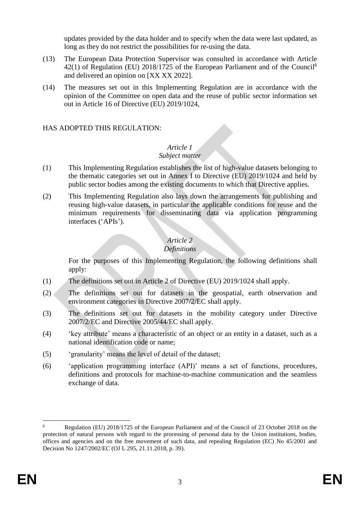updates provided by the data holder and to specify when the data were last updated, as long as they do not restrict the possibilities for re-using the data.

- (13) The European Data Protection Supervisor was consulted in accordance with Article 42(1) of Regulation (EU) 2018/1725 of the European Parliament and of the Council<sup>6</sup> and delivered an opinion on [XX XX 2022].
- (14) The measures set out in this Implementing Regulation are in accordance with the opinion of the Committee on open data and the reuse of public sector information set out in Article 16 of Directive (EU) 2019/1024,

### HAS ADOPTED THIS REGULATION:

#### *Article 1 Subject matter*

- (1) This Implementing Regulation establishes the list of high-value datasets belonging to the thematic categories set out in Annex I to Directive (EU) 2019/1024 and held by public sector bodies among the existing documents to which that Directive applies.
- (2) This Implementing Regulation also lays down the arrangements for publishing and reusing high-value datasets, in particular the applicable conditions for reuse and the minimum requirements for disseminating data via application programming interfaces ('APIs').

# *Article 2*

# *Definitions*

For the purposes of this Implementing Regulation, the following definitions shall apply:

- (1) The definitions set out in Article 2 of Directive (EU) 2019/1024 shall apply.
- (2) The definitions set out for datasets in the geospatial, earth observation and environment categories in Directive 2007/2/EC shall apply.
- (3) The definitions set out for datasets in the mobility category under Directive 2007/2/EC and Directive 2005/44/EC shall apply.
- (4) 'key attribute' means a characteristic of an object or an entity in a dataset, such as a national identification code or name;
- (5) 'granularity' means the level of detail of the dataset;
- (6) 'application programming interface (API)' means a set of functions, procedures, definitions and protocols for machine-to-machine communication and the seamless exchange of data.

<sup>1</sup> <sup>6</sup> Regulation (EU) 2018/1725 of the European Parliament and of the Council of 23 October 2018 on the protection of natural persons with regard to the processing of personal data by the Union institutions, bodies, offices and agencies and on the free movement of such data, and repealing Regulation (EC) No 45/2001 and Decision No 1247/2002/EC (OJ L 295, 21.11.2018, p. 39).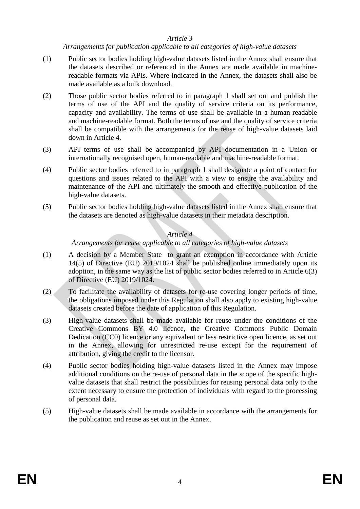### *Article 3*

*Arrangements for publication applicable to all categories of high-value datasets*

- (1) Public sector bodies holding high-value datasets listed in the Annex shall ensure that the datasets described or referenced in the Annex are made available in machinereadable formats via APIs. Where indicated in the Annex, the datasets shall also be made available as a bulk download.
- (2) Those public sector bodies referred to in paragraph 1 shall set out and publish the terms of use of the API and the quality of service criteria on its performance, capacity and availability. The terms of use shall be available in a human-readable and machine-readable format. Both the terms of use and the quality of service criteria shall be compatible with the arrangements for the reuse of high-value datasets laid down in Article 4.
- (3) API terms of use shall be accompanied by API documentation in a Union or internationally recognised open, human-readable and machine-readable format.
- (4) Public sector bodies referred to in paragraph 1 shall designate a point of contact for questions and issues related to the API with a view to ensure the availability and maintenance of the API and ultimately the smooth and effective publication of the high-value datasets.
- (5) Public sector bodies holding high-value datasets listed in the Annex shall ensure that the datasets are denoted as high-value datasets in their metadata description.

### *Article 4*

### *Arrangements for reuse applicable to all categories of high-value datasets*

- (1) A decision by a Member State to grant an exemption in accordance with Article 14(5) of Directive (EU) 2019/1024 shall be published online immediately upon its adoption, in the same way as the list of public sector bodies referred to in Article 6(3) of Directive (EU) 2019/1024.
- (2) To facilitate the availability of datasets for re-use covering longer periods of time, the obligations imposed under this Regulation shall also apply to existing high-value datasets created before the date of application of this Regulation.
- (3) High-value datasets shall be made available for reuse under the conditions of the Creative Commons BY 4.0 licence, the Creative Commons Public Domain Dedication (CC0) licence or any equivalent or less restrictive open licence, as set out in the Annex, allowing for unrestricted re-use except for the requirement of attribution, giving the credit to the licensor.
- (4) Public sector bodies holding high-value datasets listed in the Annex may impose additional conditions on the re-use of personal data in the scope of the specific highvalue datasets that shall restrict the possibilities for reusing personal data only to the extent necessary to ensure the protection of individuals with regard to the processing of personal data.
- (5) High-value datasets shall be made available in accordance with the arrangements for the publication and reuse as set out in the Annex.